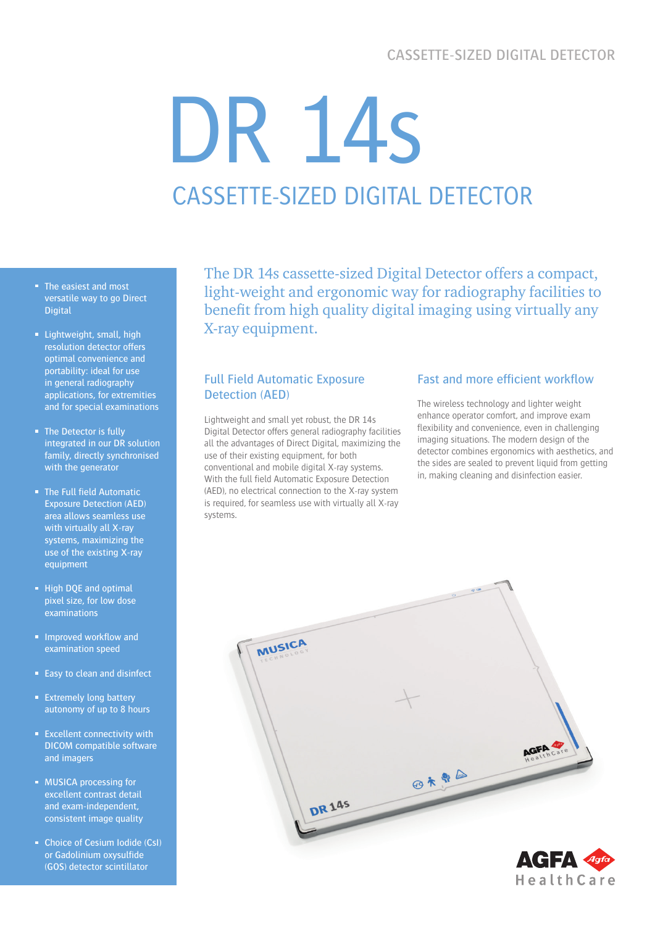# CASSETTE-SIZED DIGITAL DETECTOR

# DR 14s CASSETTE-SIZED DIGITAL DETECTOR

- The easiest and most versatile way to go Direct **Digital**
- **Lightweight, small, high** resolution detector offers optimal convenience and portability: ideal for use in general radiography applications, for extremities and for special examinations
- The Detector is fully integrated in our DR solution family, directly synchronised with the generator
- The Full field Automatic Exposure Detection (AED) area allows seamless use with virtually all X-ray systems, maximizing the use of the existing X-ray equipment
- High DQE and optimal pixel size, for low dose examinations
- **Improved workflow and** examination speed
- Easy to clean and disinfect
- **Extremely long battery** autonomy of up to 8 hours
- **Excellent connectivity with** DICOM compatible software and imagers
- **MUSICA processing for** excellent contrast detail and exam-independent, consistent image quality
- Choice of Cesium Iodide (CsI) or Gadolinium oxysulfide (GOS) detector scintillator

The DR 14s cassette-sized Digital Detector offers a compact, light-weight and ergonomic way for radiography facilities to benefit from high quality digital imaging using virtually any X-ray equipment.

# Full Field Automatic Exposure Detection (AED)

Lightweight and small yet robust, the DR 14s Digital Detector offers general radiography facilities all the advantages of Direct Digital, maximizing the use of their existing equipment, for both conventional and mobile digital X-ray systems. With the full field Automatic Exposure Detection (AED), no electrical connection to the X-ray system is required, for seamless use with virtually all X-ray systems.

# Fast and more efficient workflow

The wireless technology and lighter weight enhance operator comfort, and improve exam flexibility and convenience, even in challenging imaging situations. The modern design of the detector combines ergonomics with aesthetics, and the sides are sealed to prevent liquid from getting in, making cleaning and disinfection easier.

HealthCare

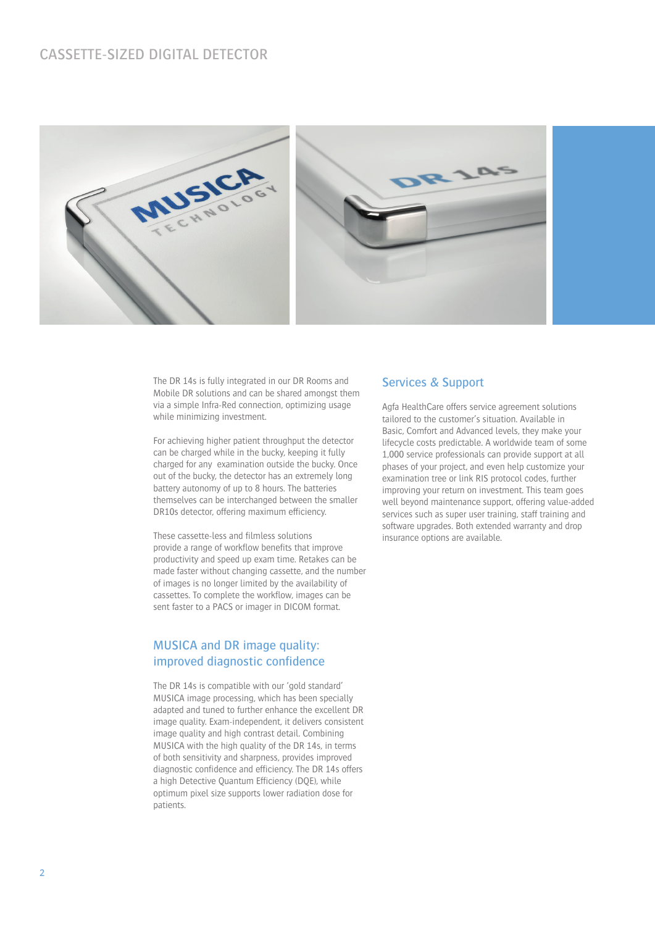

The DR 14s is fully integrated in our DR Rooms and Mobile DR solutions and can be shared amongst them via a simple Infra-Red connection, optimizing usage while minimizing investment.

For achieving higher patient throughput the detector can be charged while in the bucky, keeping it fully charged for any examination outside the bucky. Once out of the bucky, the detector has an extremely long battery autonomy of up to 8 hours. The batteries themselves can be interchanged between the smaller DR10s detector, offering maximum efficiency.

These cassette-less and filmless solutions provide a range of workflow benefits that improve productivity and speed up exam time. Retakes can be made faster without changing cassette, and the number of images is no longer limited by the availability of cassettes. To complete the workflow, images can be sent faster to a PACS or imager in DICOM format.

# MUSICA and DR image quality: improved diagnostic confidence

The DR 14s is compatible with our 'gold standard' MUSICA image processing, which has been specially adapted and tuned to further enhance the excellent DR image quality. Exam-independent, it delivers consistent image quality and high contrast detail. Combining MUSICA with the high quality of the DR 14s, in terms of both sensitivity and sharpness, provides improved diagnostic confidence and efficiency. The DR 14s offers a high Detective Quantum Efficiency (DQE), while optimum pixel size supports lower radiation dose for patients.

#### Services & Support

Agfa HealthCare offers service agreement solutions tailored to the customer's situation. Available in Basic, Comfort and Advanced levels, they make your lifecycle costs predictable. A worldwide team of some 1,000 service professionals can provide support at all phases of your project, and even help customize your examination tree or link RIS protocol codes, further improving your return on investment. This team goes well beyond maintenance support, offering value-added services such as super user training, staff training and software upgrades. Both extended warranty and drop insurance options are available.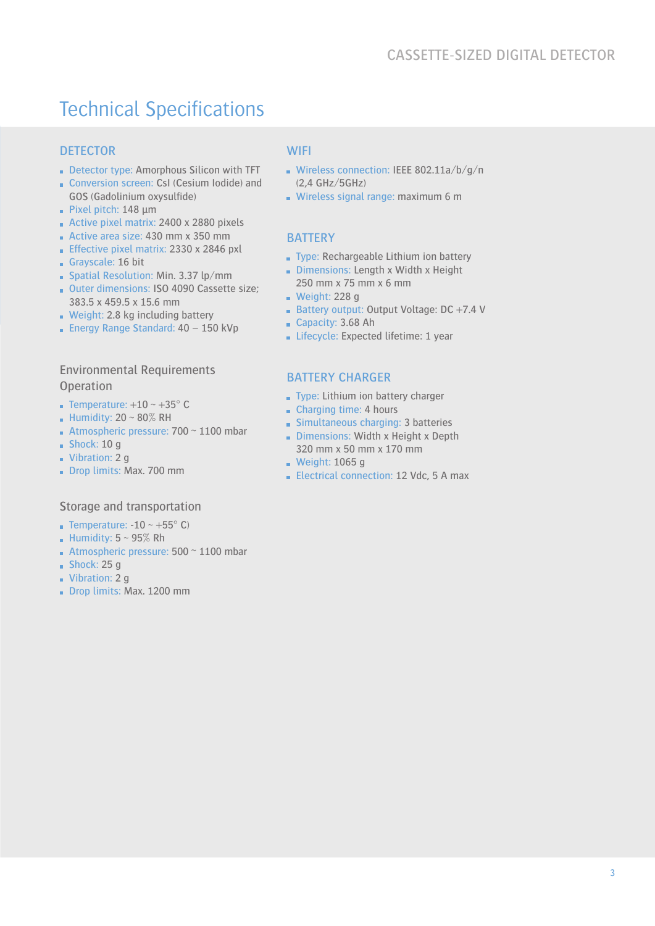# Technical Specifications

# **DETECTOR**

- Detector type: Amorphous Silicon with TFT
- Conversion screen: CsI (Cesium Iodide) and GOS (Gadolinium oxysulfide)
- Pixel pitch:  $148 \mu m$
- Active pixel matrix: 2400 x 2880 pixels
- Active area size: 430 mm x 350 mm
- **Effective pixel matrix: 2330 x 2846 pxl**
- Grayscale: 16 bit
- Spatial Resolution: Min. 3.37 lp/mm
- Outer dimensions: ISO 4090 Cassette size; 383.5 x 459.5 x 15.6 mm
- Weight: 2.8 kg including battery
- **Energy Range Standard: 40 150 kVp**

## Environmental Requirements **Operation**

- **Temperature:**  $+10 \sim +35^{\circ}$  C
- Humidity:  $20 \sim 80\%$  RH
- Atmospheric pressure:  $700 \sim 1100$  mbar
- $Shock: 10 q$
- Vibration: 2 g
- Drop limits: Max. 700 mm

#### Storage and transportation

- **Temperature: -10 ~ +55° C)**
- Humidity:  $5 \sim 95\%$  Rh
- Atmospheric pressure:  $500 \approx 1100$  mbar
- $Shock: 25a$
- Vibration: 2 g
- Drop limits: Max. 1200 mm

#### **WIFI**

- Wireless connection: IEEE 802.11a/b/g/n (2,4 GHz/5GHz)
- Wireless signal range: maximum 6 m

#### **BATTERY**

- Type: Rechargeable Lithium ion battery
- Dimensions: Length x Width x Height 250 mm x 75 mm x 6 mm
- $\blacksquare$  Weight: 228 g
- Battery output: Output Voltage: DC +7.4 V
- Capacity: 3.68 Ah
- Lifecycle: Expected lifetime: 1 year

#### BATTERY CHARGER

- Type: Lithium ion battery charger
- Charging time: 4 hours
- Simultaneous charging: 3 batteries
- Dimensions: Width x Height x Depth 320 mm x 50 mm x 170 mm
- **Weight: 1065 g**
- Electrical connection: 12 Vdc, 5 A max